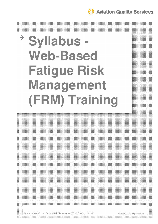**Aviation Quality Services** 

# **Syllabus - Web-Based Fatigue Risk Management (FRM) Training**



Syllabus – Web-Based Fatigue Risk Management (FRM) Training\_10.2015 © Aviation Quality Services the contract of the contract of the contract of the contract of the contract of the contract of the contract of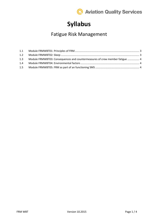

## **Syllabus**

## Fatigue Risk Management

| 1.2 |                                                                             |  |
|-----|-----------------------------------------------------------------------------|--|
| 1.3 | Module FRMWBT03: Consequences and countermeasures of crew member fatigue  4 |  |
| 1.4 |                                                                             |  |
| 1.5 |                                                                             |  |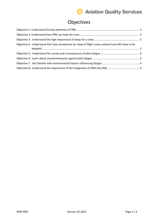## **C** Aviation Quality Services

#### Objectives

| Objective 4: Understand that clear procedures for sleep of flight crews onboard aircrafts have to be |  |
|------------------------------------------------------------------------------------------------------|--|
|                                                                                                      |  |
|                                                                                                      |  |
|                                                                                                      |  |
|                                                                                                      |  |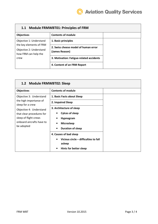

| <b>Module FRMWBT01: Principles of FRM</b><br>1.1                           |                                                        |  |  |
|----------------------------------------------------------------------------|--------------------------------------------------------|--|--|
| <b>Objectives</b>                                                          | <b>Contents of module</b>                              |  |  |
| Objective 1: Understand                                                    | 1. Basic principles                                    |  |  |
| the key elements of FRM<br>Objective 2: Understand<br>how FRM can help the | 2. Swiss cheese model of human error<br>(James Reason) |  |  |
| crew                                                                       | 3. Motivation: Fatigue-related accidents               |  |  |
|                                                                            | 4. Content of an FRM Report                            |  |  |

| 1.2 Module FRMWBT02: Sleep                                                                                               |                                                                                                                                                                                               |  |
|--------------------------------------------------------------------------------------------------------------------------|-----------------------------------------------------------------------------------------------------------------------------------------------------------------------------------------------|--|
| <b>Objectives</b>                                                                                                        | <b>Contents of module</b>                                                                                                                                                                     |  |
| Objective 3: Understand                                                                                                  | 1. Basic Facts about Sleep                                                                                                                                                                    |  |
| the high importance of<br>sleep for a crew                                                                               | 2. Impaired Sleep                                                                                                                                                                             |  |
| Objective 4: Understand<br>that clear procedures for<br>sleep of flight crews<br>onboard aircrafts have to<br>be adopted | 3. Architecture of sleep<br><b>Cylces of sleep</b><br>Hypnogram<br><b>Microsleep</b><br><b>Duration of sleep</b><br>4. Causes of bad sleep<br>Vicious circle - difficulties to fall<br>asleep |  |
|                                                                                                                          | Hints for better sleep<br>$\bullet$                                                                                                                                                           |  |